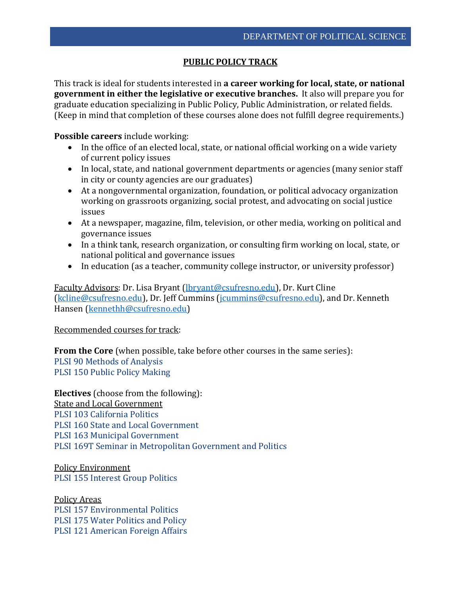## **PUBLIC POLICY TRACK**

This track is ideal for students interested in **a career working for local, state, or national government in either the legislative or executive branches.** It also will prepare you for graduate education specializing in Public Policy, Public Administration, or related fields. (Keep in mind that completion of these courses alone does not fulfill degree requirements.)

**Possible careers** include working:

- In the office of an elected local, state, or national official working on a wide variety of current policy issues
- In local, state, and national government departments or agencies (many senior staff in city or county agencies are our graduates)
- At a nongovernmental organization, foundation, or political advocacy organization working on grassroots organizing, social protest, and advocating on social justice issues
- At a newspaper, magazine, film, television, or other media, working on political and governance issues
- In a think tank, research organization, or consulting firm working on local, state, or national political and governance issues
- In education (as a teacher, community college instructor, or university professor)

Faculty Advisors: Dr. Lisa Bryant [\(lbryant@csufresno.edu\)](mailto:lbryant@csufresno.edu), Dr. Kurt Cline [\(kcline@csufresno.edu\)](mailto:kcline@csufresno.edu), Dr. Jeff Cummins [\(jcummins@csufresno.edu\)](mailto:jcummins@csufresno.edu), and Dr. Kenneth Hansen [\(kennethh@csufresno.edu\)](mailto:kennethh@csufresno.edu)

## Recommended courses for track:

**From the Core** (when possible, take before other courses in the same series): PLSI 90 Methods of Analysis PLSI 150 Public Policy Making

**Electives** (choose from the following): State and Local Government PLSI 103 California Politics PLSI 160 State and Local Government PLSI 163 Municipal Government PLSI 169T Seminar in Metropolitan Government and Politics

Policy Environment PLSI 155 Interest Group Politics

Policy Areas PLSI 157 Environmental Politics PLSI 175 Water Politics and Policy PLSI 121 American Foreign Affairs